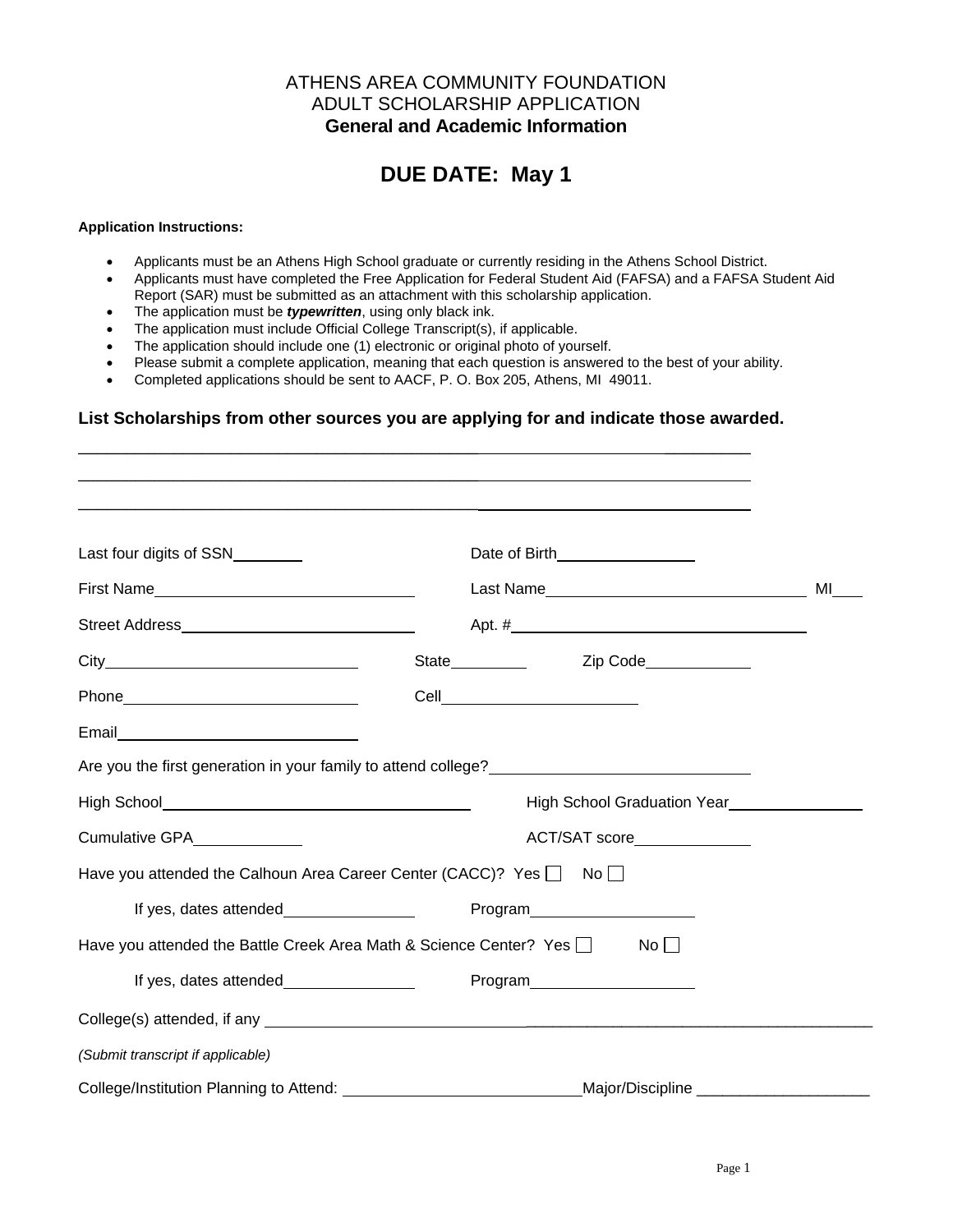### ATHENS AREA COMMUNITY FOUNDATION ADULT SCHOLARSHIP APPLICATION **General and Academic Information**

# **DUE DATE: May 1**

#### **Application Instructions:**

- Applicants must be an Athens High School graduate or currently residing in the Athens School District.
- Applicants must have completed the Free Application for Federal Student Aid (FAFSA) and a FAFSA Student Aid Report (SAR) must be submitted as an attachment with this scholarship application.
- The application must be *typewritten*, using only black ink.
- The application must include Official College Transcript(s), if applicable.
- The application should include one (1) electronic or original photo of yourself.
- Please submit a complete application, meaning that each question is answered to the best of your ability.
- Completed applications should be sent to AACF, P. O. Box 205, Athens, MI 49011.

#### **List Scholarships from other sources you are applying for and indicate those awarded.**

| Last four digits of SSN                 | Date of Birth <b>Contract Contract Contract Contract Contract Contract Contract Contract Contract Contract Contract Contract Contract Contract Contract Contract Contract Contract Contract Contract Contract Contract Contract </b> |                             |
|-----------------------------------------|--------------------------------------------------------------------------------------------------------------------------------------------------------------------------------------------------------------------------------------|-----------------------------|
|                                         |                                                                                                                                                                                                                                      | MI                          |
|                                         |                                                                                                                                                                                                                                      |                             |
|                                         |                                                                                                                                                                                                                                      |                             |
|                                         | Cell____________________________                                                                                                                                                                                                     |                             |
|                                         |                                                                                                                                                                                                                                      |                             |
|                                         |                                                                                                                                                                                                                                      |                             |
|                                         |                                                                                                                                                                                                                                      |                             |
| Cumulative GPA _____________            | ACT/SAT score_______________                                                                                                                                                                                                         |                             |
|                                         | Have you attended the Calhoun Area Career Center (CACC)? Yes $\Box$ No $\Box$                                                                                                                                                        |                             |
|                                         | Program______________________                                                                                                                                                                                                        |                             |
|                                         | Have you attended the Battle Creek Area Math & Science Center? Yes D<br>$No$ $\Box$                                                                                                                                                  |                             |
|                                         | Program______________________                                                                                                                                                                                                        |                             |
|                                         | College(s) attended, if any service and the college of the college of the college of the college of the college of the college of the college of the college of the college of the college of the college of the college of th       |                             |
| (Submit transcript if applicable)       |                                                                                                                                                                                                                                      |                             |
| College/Institution Planning to Attend: |                                                                                                                                                                                                                                      | Major/Discipline __________ |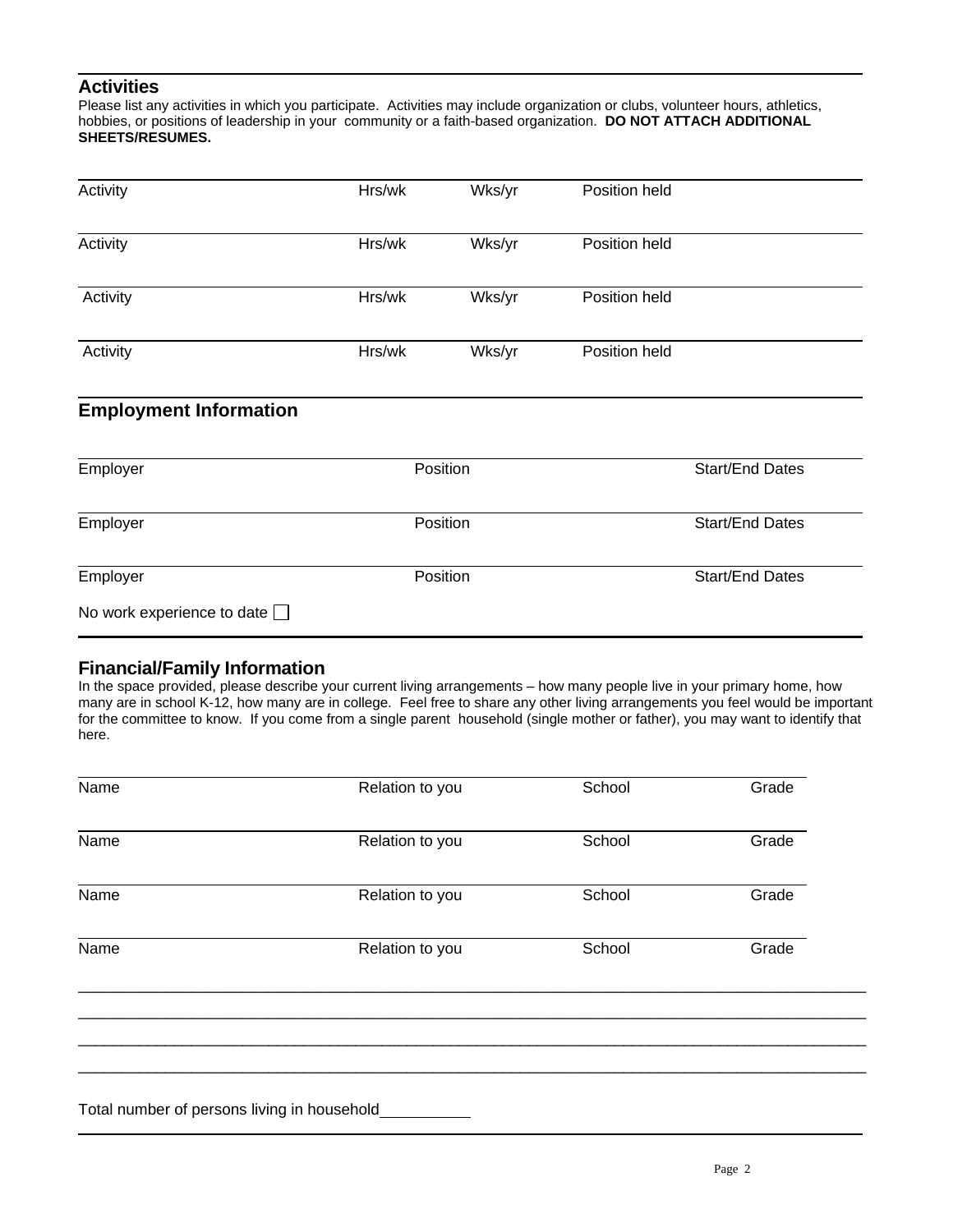### **Activities**

Please list any activities in which you participate. Activities may include organization or clubs, volunteer hours, athletics, hobbies, or positions of leadership in your community or a faith-based organization. **DO NOT ATTACH ADDITIONAL SHEETS/RESUMES.**

| Activity                      | Hrs/wk | Wks/yr   | Position held |                        |
|-------------------------------|--------|----------|---------------|------------------------|
| Activity                      | Hrs/wk | Wks/yr   | Position held |                        |
| Activity                      | Hrs/wk | Wks/yr   | Position held |                        |
| Activity                      | Hrs/wk | Wks/yr   | Position held |                        |
| <b>Employment Information</b> |        |          |               |                        |
| Employer                      |        | Position |               | <b>Start/End Dates</b> |

| Employer                          | <b>Position</b> | <b>Start/End Dates</b> |
|-----------------------------------|-----------------|------------------------|
| Employer                          | <b>Position</b> | <b>Start/End Dates</b> |
| No work experience to date $\Box$ |                 |                        |

## **Financial/Family Information**

In the space provided, please describe your current living arrangements – how many people live in your primary home, how many are in school K-12, how many are in college. Feel free to share any other living arrangements you feel would be important for the committee to know. If you come from a single parent household (single mother or father), you may want to identify that here.

| Name | Relation to you | School | Grade |
|------|-----------------|--------|-------|
| Name | Relation to you | School | Grade |
| Name | Relation to you | School | Grade |
| Name | Relation to you | School | Grade |
|      |                 |        |       |
|      |                 |        |       |

Total number of persons living in household